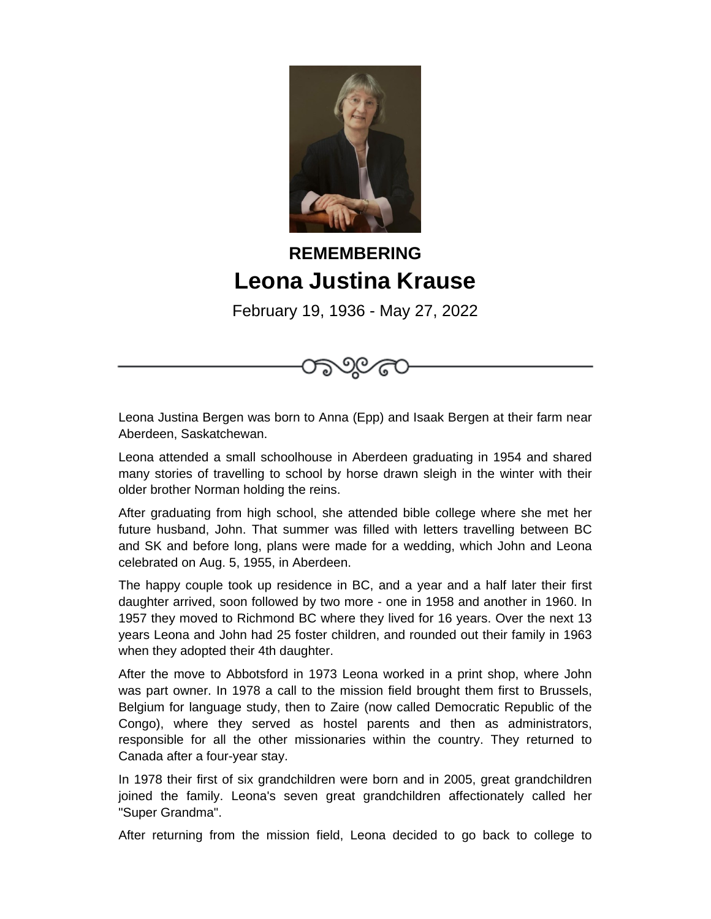

## **REMEMBERING Leona Justina Krause**

February 19, 1936 - May 27, 2022

Leona Justina Bergen was born to Anna (Epp) and Isaak Bergen at their farm near Aberdeen, Saskatchewan.

Leona attended a small schoolhouse in Aberdeen graduating in 1954 and shared many stories of travelling to school by horse drawn sleigh in the winter with their older brother Norman holding the reins.

After graduating from high school, she attended bible college where she met her future husband, John. That summer was filled with letters travelling between BC and SK and before long, plans were made for a wedding, which John and Leona celebrated on Aug. 5, 1955, in Aberdeen.

The happy couple took up residence in BC, and a year and a half later their first daughter arrived, soon followed by two more - one in 1958 and another in 1960. In 1957 they moved to Richmond BC where they lived for 16 years. Over the next 13 years Leona and John had 25 foster children, and rounded out their family in 1963 when they adopted their 4th daughter.

After the move to Abbotsford in 1973 Leona worked in a print shop, where John was part owner. In 1978 a call to the mission field brought them first to Brussels, Belgium for language study, then to Zaire (now called Democratic Republic of the Congo), where they served as hostel parents and then as administrators, responsible for all the other missionaries within the country. They returned to Canada after a four-year stay.

In 1978 their first of six grandchildren were born and in 2005, great grandchildren joined the family. Leona's seven great grandchildren affectionately called her "Super Grandma".

After returning from the mission field, Leona decided to go back to college to